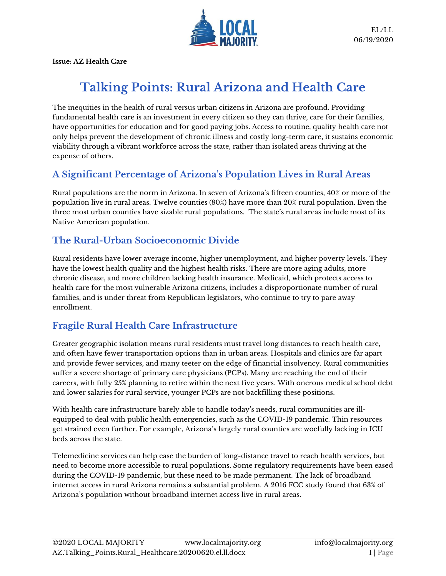

**Issue: AZ Health Care**

# **Talking Points: Rural Arizona and Health Care**

The inequities in the health of rural versus urban citizens in Arizona are profound. Providing fundamental health care is an investment in every citizen so they can thrive, care for their families, have opportunities for education and for good paying jobs. Access to routine, quality health care not only helps prevent the development of chronic illness and costly long-term care, it sustains economic viability through a vibrant workforce across the state, rather than isolated areas thriving at the expense of others.

# **A Significant Percentage of Arizona's Population Lives in Rural Areas**

Rural populations are the norm in Arizona. In seven of Arizona's fifteen counties, 40% or more of the population live in rural areas. Twelve counties (80%) have more than 20% rural population. Even the three most urban counties have sizable rural populations. The state's rural areas include most of its Native American population.

#### **The Rural-Urban Socioeconomic Divide**

Rural residents have lower average income, higher unemployment, and higher poverty levels. They have the lowest health quality and the highest health risks. There are more aging adults, more chronic disease, and more children lacking health insurance. Medicaid, which protects access to health care for the most vulnerable Arizona citizens, includes a disproportionate number of rural families, and is under threat from Republican legislators, who continue to try to pare away enrollment.

# **Fragile Rural Health Care Infrastructure**

Greater geographic isolation means rural residents must travel long distances to reach health care, and often have fewer transportation options than in urban areas. Hospitals and clinics are far apart and provide fewer services, and many teeter on the edge of financial insolvency. Rural communities suffer a severe shortage of primary care physicians (PCPs). Many are reaching the end of their careers, with fully 25% planning to retire within the next five years. With onerous medical school debt and lower salaries for rural service, younger PCPs are not backfilling these positions.

With health care infrastructure barely able to handle today's needs, rural communities are illequipped to deal with public health emergencies, such as the COVID-19 pandemic. Thin resources get strained even further. For example, Arizona's largely rural counties are woefully lacking in ICU beds across the state.

Telemedicine services can help ease the burden of long-distance travel to reach health services, but need to become more accessible to rural populations. Some regulatory requirements have been eased during the COVID-19 pandemic, but these need to be made permanent. The lack of broadband internet access in rural Arizona remains a substantial problem. A 2016 FCC study found that 63% of Arizona's population without broadband internet access live in rural areas.